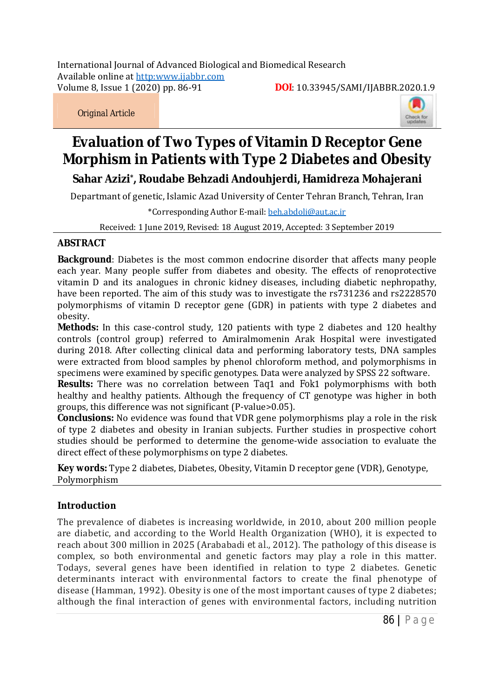International Journal of Advanced Biological and Biomedical Research Available online at http[:www.ijabbr.com](http://www.ijabbr.com) Volume 8, Issue 1 (2020) pp. 86-91 **DOI**: 10.33945/SAMI/IJABBR.2020.1.9

*Original Article*



# **Evaluation of Two Types of Vitamin D Receptor Gene Morphism in Patients with Type 2 Diabetes and Obesity**

# **Sahar Azizi\* , Roudabe Behzadi Andouhjerdi, Hamidreza Mohajerani**

Departmant of genetic, Islamic Azad University of Center Tehran Branch, Tehran, Iran

\*Corresponding Author E-mail: [beh.abdoli@aut.ac.ir](mailto:beh.abdoli@aut.ac.ir)

Received: 1 June 2019, Revised: 18 August 2019, Accepted: 3 September 2019

## **ABSTRACT**

**Background**: Diabetes is the most common endocrine disorder that affects many people each year. Many people suffer from diabetes and obesity. The effects of renoprotective vitamin D and its analogues in chronic kidney diseases, including diabetic nephropathy, have been reported. The aim of this study was to investigate the rs731236 and rs2228570 polymorphisms of vitamin D receptor gene (GDR) in patients with type 2 diabetes and obesity.

**Methods:** In this case-control study, 120 patients with type 2 diabetes and 120 healthy controls (control group) referred to Amiralmomenin Arak Hospital were investigated during 2018. After collecting clinical data and performing laboratory tests, DNA samples were extracted from blood samples by phenol chloroform method, and polymorphisms in specimens were examined by specific genotypes. Data were analyzed by SPSS 22 software.

**Results:** There was no correlation between *Taq*1 and *Fok*1 polymorphisms with both healthy and healthy patients. Although the frequency of CT genotype was higher in both groups, this difference was not significant (P-value>0.05).

**Conclusions:** No evidence was found that VDR gene polymorphisms play a role in the risk of type 2 diabetes and obesity in Iranian subjects. Further studies in prospective cohort studies should be performed to determine the genome-wide association to evaluate the direct effect of these polymorphisms on type 2 diabetes.

**Key words:** Type 2 diabetes, Diabetes, Obesity, Vitamin D receptor gene (VDR), Genotype, Polymorphism

## **Introduction**

The prevalence of diabetes is increasing worldwide, in 2010, about 200 million people are diabetic, and according to the World Health Organization (WHO), it is expected to reach about 300 million in 2025 (Arababadi *et al.,* 2012). The pathology of this disease is complex, so both environmental and genetic factors may play a role in this matter. Todays, several genes have been identified in relation to type 2 diabetes. Genetic determinants interact with environmental factors to create the final phenotype of disease (Hamman, 1992). Obesity is one of the most important causes of type 2 diabetes; although the final interaction of genes with environmental factors, including nutrition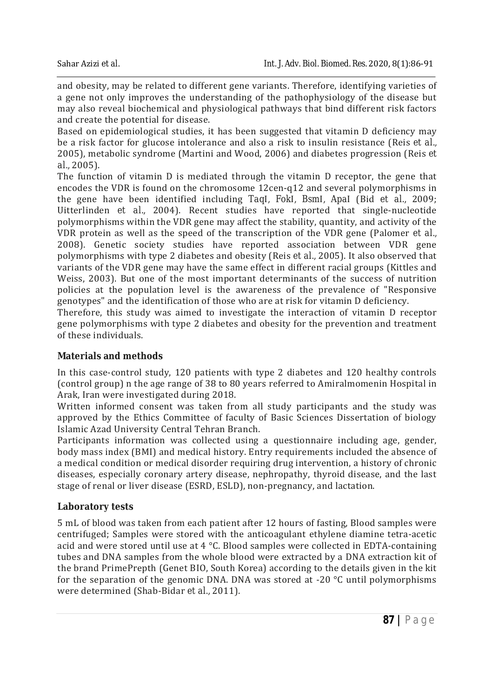and obesity, may be related to different gene variants. Therefore, identifying varieties of a gene not only improves the understanding of the pathophysiology of the disease but may also reveal biochemical and physiological pathways that bind different risk factors and create the potential for disease.

Based on epidemiological studies, it has been suggested that vitamin D deficiency may be a risk factor for glucose intolerance and also a risk to insulin resistance (Reis *et al.,* 2005), metabolic syndrome (Martini and Wood, 2006) and diabetes progression (Reis *et al.,* 2005).

The function of vitamin D is mediated through the vitamin D receptor, the gene that encodes the VDR is found on the chromosome 12cen-q12 and several polymorphisms in the gene have been identified including *Taq*I*, Fok*I*, Bsm*I*, Apa*I (Bid *et al.,* 2009; Uitterlinden *et al.,* 2004). Recent studies have reported that single-nucleotide polymorphisms within the VDR gene may affect the stability, quantity, and activity of the VDR protein as well as the speed of the transcription of the VDR gene (Palomer *et al.,* 2008). Genetic society studies have reported association between VDR gene polymorphisms with type 2 diabetes and obesity (Reis *et al.,* 2005). It also observed that variants of the VDR gene may have the same effect in different racial groups (Kittles and Weiss, 2003). But one of the most important determinants of the success of nutrition policies at the population level is the awareness of the prevalence of "Responsive genotypes" and the identification of those who are at risk for vitamin D deficiency.

Therefore, this study was aimed to investigate the interaction of vitamin D receptor gene polymorphisms with type 2 diabetes and obesity for the prevention and treatment of these individuals.

#### **Materials and methods**

In this case-control study, 120 patients with type 2 diabetes and 120 healthy controls (control group) n the age range of 38 to 80 years referred to Amiralmomenin Hospital in Arak, Iran were investigated during 2018.

Written informed consent was taken from all study participants and the study was approved by the Ethics Committee of faculty of Basic Sciences Dissertation of biology Islamic Azad University Central Tehran Branch.

Participants information was collected using a questionnaire including age, gender, body mass index (BMI) and medical history. Entry requirements included the absence of a medical condition or medical disorder requiring drug intervention, a history of chronic diseases, especially coronary artery disease, nephropathy, thyroid disease, and the last stage of renal or liver disease (ESRD, ESLD), non-pregnancy, and lactation.

#### **Laboratory tests**

5 mL of blood was taken from each patient after 12 hours of fasting, Blood samples were centrifuged; Samples were stored with the anticoagulant ethylene diamine tetra-acetic acid and were stored until use at  $4 \degree C$ . Blood samples were collected in EDTA-containing tubes and DNA samples from the whole blood were extracted by a DNA extraction kit of the brand PrimePrepth (Genet BIO, South Korea) according to the details given in the kit for the separation of the genomic DNA. DNA was stored at -20 °C until polymorphisms were determined (Shab-Bidar *et al.,* 2011).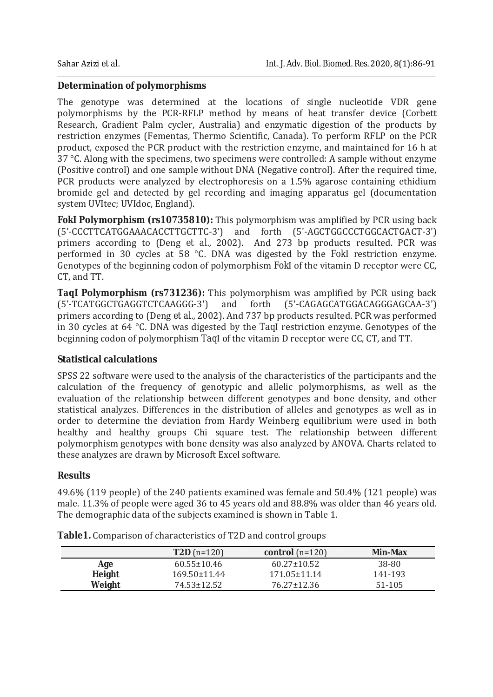#### **Determination of polymorphisms**

The genotype was determined at the locations of single nucleotide VDR gene polymorphisms by the PCR-RFLP method by means of heat transfer device (Corbett Research, Gradient Palm cycler, Australia) and enzymatic digestion of the products by restriction enzymes (Fementas, Thermo Scientific, Canada). To perform RFLP on the PCR product, exposed the PCR product with the restriction enzyme, and maintained for 16 h at 37 °C. Along with the specimens, two specimens were controlled: A sample without enzyme (Positive control) and one sample without DNA (Negative control). After the required time, PCR products were analyzed by electrophoresis on a 1.5% agarose containing ethidium bromide gel and detected by gel recording and imaging apparatus gel (documentation system UVItec; UVIdoc, England).

*Fok***I Polymorphism (rs10735810):** This polymorphism was amplified by PCR using back (5'-CCCTTCATGGAAACACCTTGCTTC-3') and forth (5'-AGCTGGCCCTGGCACTGACT-3') primers according to (Deng *et al.,* 2002). And 273 bp products resulted. PCR was performed in 30 cycles at 58 °C. DNA was digested by the *Fok*I restriction enzyme. Genotypes of the beginning codon of polymorphism *Fok*I of the vitamin D receptor were CC, CT, and TT.

*Taq***I Polymorphism (rs731236):** This polymorphism was amplified by PCR using back (5'-TCATGGCTGAGGTCTCAAGGG-3') and forth (5'-CAGAGCATGGACAGGGAGCAA-3') primers according to (Deng *et al.,* 2002). And 737 bp products resulted. PCR was performed in 30 cycles at 64 °C. DNA was digested by the *Taq*I restriction enzyme. Genotypes of the beginning codon of polymorphism *Taq*I of the vitamin D receptor were CC, CT, and TT.

#### **Statistical calculations**

SPSS 22 software were used to the analysis of the characteristics of the participants and the calculation of the frequency of genotypic and allelic polymorphisms, as well as the evaluation of the relationship between different genotypes and bone density, and other statistical analyzes. Differences in the distribution of alleles and genotypes as well as in order to determine the deviation from Hardy Weinberg equilibrium were used in both healthy and healthy groups Chi square test. The relationship between different polymorphism genotypes with bone density was also analyzed by ANOVA. Charts related to these analyzes are drawn by Microsoft Excel software.

#### **Results**

49.6% (119 people) of the 240 patients examined was female and 50.4% (121 people) was male. 11.3% of people were aged 36 to 45 years old and 88.8% was older than 46 years old. The demographic data of the subjects examined is shown in Table 1.

|        | $T2D(n=120)$       | control $(n=120)$  | Min-Max    |
|--------|--------------------|--------------------|------------|
| Age    | $60.55 \pm 10.46$  | $60.27 \pm 10.52$  | 38-80      |
| Height | $169.50 \pm 11.44$ | $171.05 \pm 11.14$ | 141-193    |
| Weight | 74.53±12.52        | 76.27±12.36        | $51 - 105$ |

**Table1.** Comparison of characteristics of T2D and control groups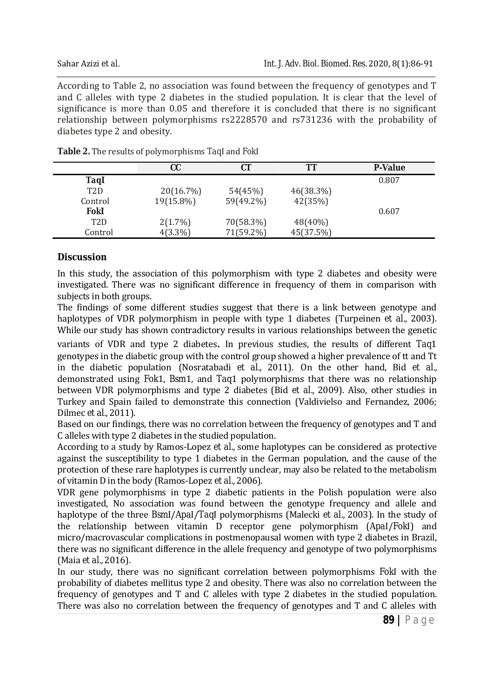According to Table 2, no association was found between the frequency of genotypes and T and C alleles with type 2 diabetes in the studied population. It is clear that the level of significance is more than 0.05 and therefore it is concluded that there is no significant relationship between polymorphisms rs2228570 and rs731236 with the probability of diabetes type 2 and obesity.

|                  | cc           | CТ        | TT        | <b>P-Value</b> |
|------------------|--------------|-----------|-----------|----------------|
| <b>TaqI</b>      |              |           |           | 0.807          |
| T <sub>2</sub> D | 20(16.7%)    | 54(45%)   | 46(38.3%) |                |
| Control          | $19(15.8\%)$ | 59(49.2%) | 42(35%)   |                |
| FokI             |              |           |           | 0.607          |
| T <sub>2</sub> D | $2(1.7\%)$   | 70(58.3%) | 48(40%)   |                |
| Control          | $4(3.3\%)$   | 71(59.2%) | 45(37.5%) |                |

**Table 2.** The results of polymorphisms *Taq*I and *Fok*I

### **Discussion**

In this study, the association of this polymorphism with type 2 diabetes and obesity were investigated. There was no significant difference in frequency of them in comparison with subjects in both groups.

The findings of some different studies suggest that there is a link between genotype and haplotypes of VDR polymorphism in people with type 1 diabetes (Turpeinen *et al.,* 2003). While our study has shown contradictory results in various relationships between the genetic

variants of VDR and type 2 diabetes. In previous studies, the results of different *Taq*1 genotypes in the diabetic group with the control group showed a higher prevalence of tt and Tt in the diabetic population (Nosratabadi *et al.,* 2011). On the other hand, Bid *et al.,* demonstrated using *Fok*1, *Bsm*1, and *Taq*1 polymorphisms that there was no relationship between VDR polymorphisms and type 2 diabetes (Bid *et al.,* 2009). Also, other studies in Turkey and Spain failed to demonstrate this connection (Valdivielso and Fernandez, 2006; Dilmec *et al.,* 2011).

Based on our findings, there was no correlation between the frequency of genotypes and T and C alleles with type 2 diabetes in the studied population.

According to a study by Ramos-Lopez *et al.,* some haplotypes can be considered as protective against the susceptibility to type 1 diabetes in the German population, and the cause of the protection of these rare haplotypes is currently unclear, may also be related to the metabolism of vitamin D in the body (Ramos-Lopez *et al.,* 2006).

VDR gene polymorphisms in type 2 diabetic patients in the Polish population were also investigated, No association was found between the genotype frequency and allele and haplotype of the three *Bsm*I/*Apa*I/*Taq*I polymorphisms (Malecki *et al.,* 2003). In the study of the relationship between vitamin D receptor gene polymorphism (*Apa*I/*Fok*I) and micro/macrovascular complications in postmenopausal women with type 2 diabetes in Brazil, there was no significant difference in the allele frequency and genotype of two polymorphisms (Maia *et al.,* 2016).

In our study, there was no significant correlation between polymorphisms *Fok*I with the probability of diabetes mellitus type 2 and obesity. There was also no correlation between the frequency of genotypes and T and C alleles with type 2 diabetes in the studied population. There was also no correlation between the frequency of genotypes and T and C alleles with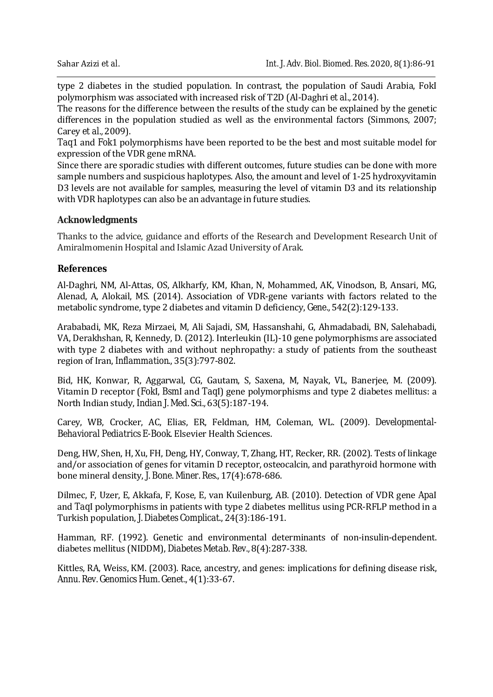type 2 diabetes in the studied population. In contrast, the population of Saudi Arabia, FokI polymorphism was associated with increased risk of T2D (Al-Daghri *et al.,* 2014).

The reasons for the difference between the results of the study can be explained by the genetic differences in the population studied as well as the environmental factors (Simmons, 2007; Carey *et al.,* 2009).

*Taq*1 and *Fok*1 polymorphisms have been reported to be the best and most suitable model for expression of the VDR gene mRNA.

Since there are sporadic studies with different outcomes, future studies can be done with more sample numbers and suspicious haplotypes. Also, the amount and level of 1-25 hydroxyvitamin D3 levels are not available for samples, measuring the level of vitamin D3 and its relationship with VDR haplotypes can also be an advantage in future studies.

#### **Acknowledgments**

Thanks to the advice, guidance and efforts of the Research and Development Research Unit of Amiralmomenin Hospital and Islamic Azad University of Arak.

#### **References**

Al-Daghri, NM, Al-Attas, OS, Alkharfy, KM, Khan, N, Mohammed, AK, Vinodson, B, Ansari, MG, Alenad, A, Alokail, MS. (2014). Association of VDR-gene variants with factors related to the metabolic syndrome, type 2 diabetes and vitamin D deficiency, *Gene.,* 542(2):129-133.

Arababadi, MK, Reza Mirzaei, M, Ali Sajadi, SM, Hassanshahi, G, Ahmadabadi, BN, Salehabadi, VA, Derakhshan, R, Kennedy, D. (2012). Interleukin (IL)-10 gene polymorphisms are associated with type 2 diabetes with and without nephropathy: a study of patients from the southeast region of Iran, *Inflammation*., 35(3):797-802.

Bid, HK, Konwar, R, Aggarwal, CG, Gautam, S, Saxena, M, Nayak, VL, Banerjee, M. (2009). Vitamin D receptor (*Fok*I, *Bsm*I and *Taq*I) gene polymorphisms and type 2 diabetes mellitus: a North Indian study, *Indian J. Med. Sci.,* 63(5):187-194.

Carey, WB, Crocker, AC, Elias, ER, Feldman, HM, Coleman, WL. (2009). *Developmental-Behavioral Pediatrics E-Book*. Elsevier Health Sciences.

Deng, HW, Shen, H, Xu, FH, Deng, HY, Conway, T, Zhang, HT, Recker, RR. (2002). Tests of linkage and/or association of genes for vitamin D receptor, osteocalcin, and parathyroid hormone with bone mineral density, *J. Bone. Miner. Res.,* 17(4):678-686.

Dilmec, F, Uzer, E, Akkafa, F, Kose, E, van Kuilenburg, AB. (2010). Detection of VDR gene *Apa*I and *Taq*I polymorphisms in patients with type 2 diabetes mellitus using PCR-RFLP method in a Turkish population, *J. Diabetes Complicat*., 24(3):186-191.

Hamman, RF. (1992). Genetic and environmental determinants of non‐insulin‐dependent. diabetes mellitus (NIDDM), *Diabetes Metab. Rev.,* 8(4):287-338.

Kittles, RA, Weiss, KM. (2003). Race, ancestry, and genes: implications for defining disease risk, *Annu. Rev. Genomics Hum. Genet.,* 4(1):33-67.